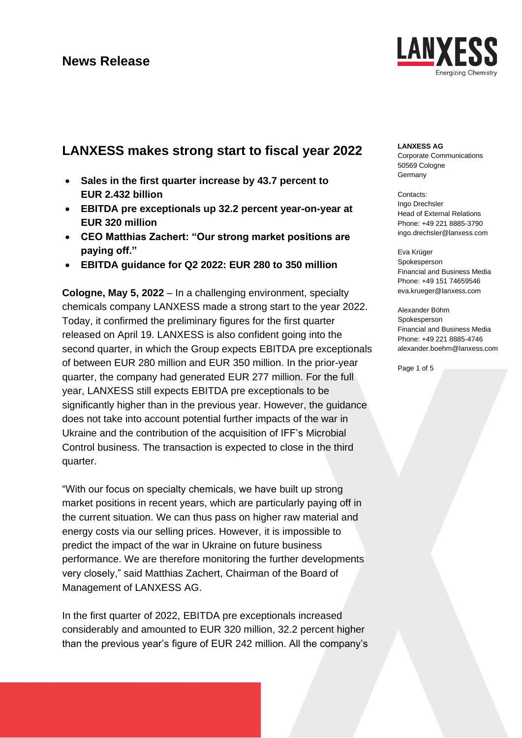

# **LANXESS makes strong start to fiscal year 2022**

- **Sales in the first quarter increase by 43.7 percent to EUR 2.432 billion**
- **EBITDA pre exceptionals up 32.2 percent year-on-year at EUR 320 million**
- **CEO Matthias Zachert: "Our strong market positions are paying off."**
- **EBITDA guidance for Q2 2022: EUR 280 to 350 million**

**Cologne, May 5, 2022** – In a challenging environment, specialty chemicals company LANXESS made a strong start to the year 2022. Today, it confirmed the preliminary figures for the first quarter released on April 19. LANXESS is also confident going into the second quarter, in which the Group expects EBITDA pre exceptionals of between EUR 280 million and EUR 350 million. In the prior-year quarter, the company had generated EUR 277 million. For the full year, LANXESS still expects EBITDA pre exceptionals to be significantly higher than in the previous year. However, the guidance does not take into account potential further impacts of the war in Ukraine and the contribution of the acquisition of IFF's Microbial Control business. The transaction is expected to close in the third quarter.

"With our focus on specialty chemicals, we have built up strong market positions in recent years, which are particularly paying off in the current situation. We can thus pass on higher raw material and energy costs via our selling prices. However, it is impossible to predict the impact of the war in Ukraine on future business performance. We are therefore monitoring the further developments very closely," said Matthias Zachert, Chairman of the Board of Management of LANXESS AG.

In the first quarter of 2022, EBITDA pre exceptionals increased considerably and amounted to EUR 320 million, 32.2 percent higher than the previous year's figure of EUR 242 million. All the company's

### **LANXESS AG**

Corporate Communications 50569 Cologne **Germany** 

Contacts: Ingo Drechsler Head of External Relations Phone: +49 221 8885-3790 ingo.drechsler@lanxess.com

Eva Krüger Spokesperson Financial and Business Media Phone: +49 151 74659546 eva.krueger@lanxess.com

Alexander Böhm Spokesperson Financial and Business Media Phone: +49 221 8885-4746 alexander.boehm@lanxess.com

Page 1 of 5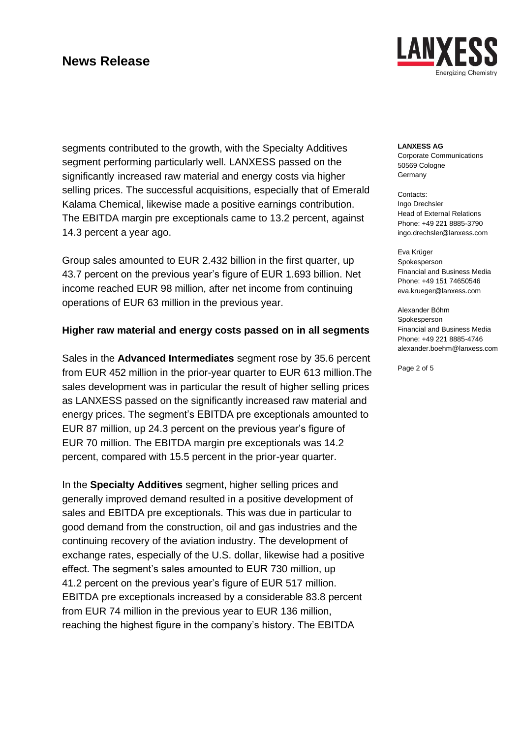

segments contributed to the growth, with the Specialty Additives segment performing particularly well. LANXESS passed on the significantly increased raw material and energy costs via higher selling prices. The successful acquisitions, especially that of Emerald Kalama Chemical, likewise made a positive earnings contribution. The EBITDA margin pre exceptionals came to 13.2 percent, against 14.3 percent a year ago.

Group sales amounted to EUR 2.432 billion in the first quarter, up 43.7 percent on the previous year's figure of EUR 1.693 billion. Net income reached EUR 98 million, after net income from continuing operations of EUR 63 million in the previous year.

### **Higher raw material and energy costs passed on in all segments**

Sales in the **Advanced Intermediates** segment rose by 35.6 percent from EUR 452 million in the prior-year quarter to EUR 613 million.The sales development was in particular the result of higher selling prices as LANXESS passed on the significantly increased raw material and energy prices. The segment's EBITDA pre exceptionals amounted to EUR 87 million, up 24.3 percent on the previous year's figure of EUR 70 million. The EBITDA margin pre exceptionals was 14.2 percent, compared with 15.5 percent in the prior-year quarter.

In the **Specialty Additives** segment, higher selling prices and generally improved demand resulted in a positive development of sales and EBITDA pre exceptionals. This was due in particular to good demand from the construction, oil and gas industries and the continuing recovery of the aviation industry. The development of exchange rates, especially of the U.S. dollar, likewise had a positive effect. The segment's sales amounted to EUR 730 million, up 41.2 percent on the previous year's figure of EUR 517 million. EBITDA pre exceptionals increased by a considerable 83.8 percent from EUR 74 million in the previous year to EUR 136 million, reaching the highest figure in the company's history. The EBITDA

**LANXESS AG**

Corporate Communications 50569 Cologne **Germany** 

Contacts: Ingo Drechsler Head of External Relations Phone: +49 221 8885-3790 ingo.drechsler@lanxess.com

Eva Krüger Spokesperson Financial and Business Media Phone: +49 151 74650546 eva.krueger@lanxess.com

Alexander Böhm Spokesperson Financial and Business Media Phone: +49 221 8885-4746 alexander.boehm@lanxess.com

Page 2 of 5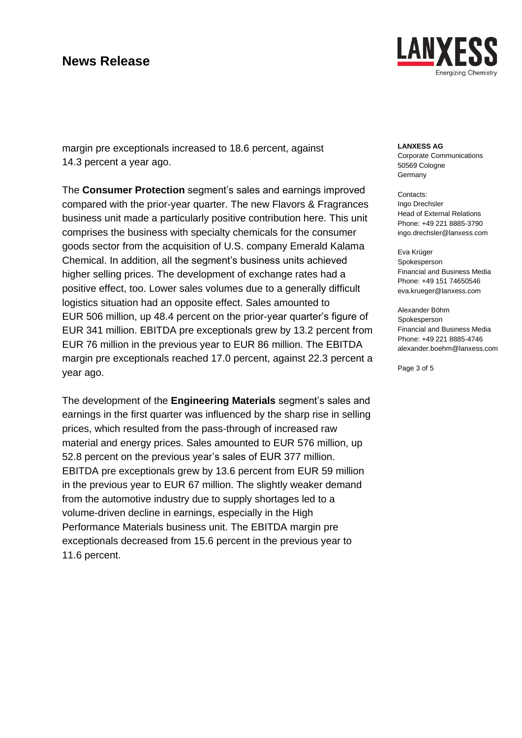

margin pre exceptionals increased to 18.6 percent, against 14.3 percent a year ago.

The **Consumer Protection** segment's sales and earnings improved compared with the prior-year quarter. The new Flavors & Fragrances business unit made a particularly positive contribution here. This unit comprises the business with specialty chemicals for the consumer goods sector from the acquisition of U.S. company Emerald Kalama Chemical. In addition, all the segment's business units achieved higher selling prices. The development of exchange rates had a positive effect, too. Lower sales volumes due to a generally difficult logistics situation had an opposite effect. Sales amounted to EUR 506 million, up 48.4 percent on the prior-year quarter's figure of EUR 341 million. EBITDA pre exceptionals grew by 13.2 percent from EUR 76 million in the previous year to EUR 86 million. The EBITDA margin pre exceptionals reached 17.0 percent, against 22.3 percent a year ago.

The development of the **Engineering Materials** segment's sales and earnings in the first quarter was influenced by the sharp rise in selling prices, which resulted from the pass-through of increased raw material and energy prices. Sales amounted to EUR 576 million, up 52.8 percent on the previous year's sales of EUR 377 million. EBITDA pre exceptionals grew by 13.6 percent from EUR 59 million in the previous year to EUR 67 million. The slightly weaker demand from the automotive industry due to supply shortages led to a volume-driven decline in earnings, especially in the High Performance Materials business unit. The EBITDA margin pre exceptionals decreased from 15.6 percent in the previous year to 11.6 percent.

#### **LANXESS AG**

Corporate Communications 50569 Cologne **Germany** 

Contacts: Ingo Drechsler Head of External Relations Phone: +49 221 8885-3790 ingo.drechsler@lanxess.com

Eva Krüger Spokesperson Financial and Business Media Phone: +49 151 74650546 eva.krueger@lanxess.com

Alexander Böhm Spokesperson Financial and Business Media Phone: +49 221 8885-4746 alexander.boehm@lanxess.com

Page 3 of 5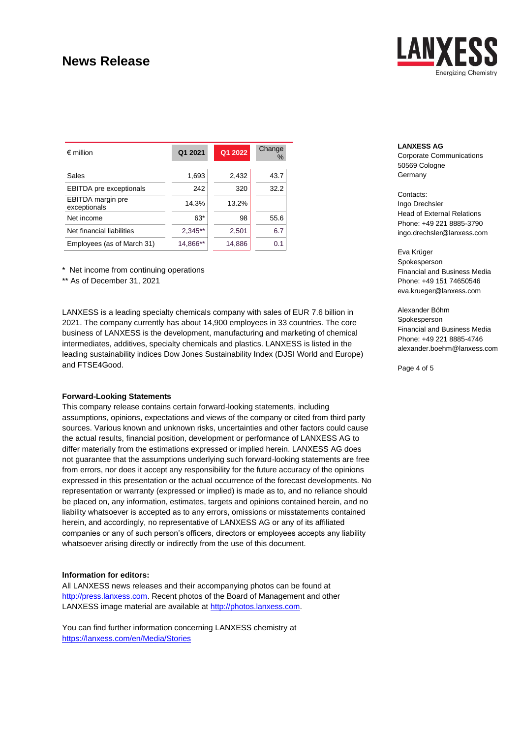

| $\epsilon$ million                       | Q1 2021   | Q1 2022 | Change<br>$\%$ |
|------------------------------------------|-----------|---------|----------------|
| Sales                                    | 1,693     | 2,432   | 43.7           |
| <b>EBITDA</b> pre exceptionals           | 242       | 320     | 32.2           |
| <b>EBITDA</b> margin pre<br>exceptionals | 14.3%     | 13.2%   |                |
| Net income                               | $63*$     | 98      | 55.6           |
| Net financial liabilities                | $2,345**$ | 2,501   | 6.7            |
| Employees (as of March 31)               | 14,866**  | 14,886  | 0.1            |

\* Net income from continuing operations

\*\* As of December 31, 2021

LANXESS is a leading specialty chemicals company with sales of EUR 7.6 billion in 2021. The company currently has about 14,900 employees in 33 countries. The core business of LANXESS is the development, manufacturing and marketing of chemical intermediates, additives, specialty chemicals and plastics. LANXESS is listed in the leading sustainability indices Dow Jones Sustainability Index (DJSI World and Europe) and FTSE4Good.

#### **Forward-Looking Statements**

This company release contains certain forward-looking statements, including assumptions, opinions, expectations and views of the company or cited from third party sources. Various known and unknown risks, uncertainties and other factors could cause the actual results, financial position, development or performance of LANXESS AG to differ materially from the estimations expressed or implied herein. LANXESS AG does not guarantee that the assumptions underlying such forward-looking statements are free from errors, nor does it accept any responsibility for the future accuracy of the opinions expressed in this presentation or the actual occurrence of the forecast developments. No representation or warranty (expressed or implied) is made as to, and no reliance should be placed on, any information, estimates, targets and opinions contained herein, and no liability whatsoever is accepted as to any errors, omissions or misstatements contained herein, and accordingly, no representative of LANXESS AG or any of its affiliated companies or any of such person's officers, directors or employees accepts any liability whatsoever arising directly or indirectly from the use of this document.

#### **Information for editors:**

All LANXESS news releases and their accompanying photos can be found at [http://press.lanxess.com.](https://lanxess.com/de-DE/Presse/Presseinformationen) Recent photos of the Board of Management and other LANXESS image material are available at [http://photos.lanxess.com.](http://fotos.lanxess.de/)

You can find further information concerning LANXESS chemistry at <https://lanxess.com/en/Media/Stories>

#### **LANXESS AG**

Corporate Communications 50569 Cologne **Germany** 

Contacts: Ingo Drechsler Head of External Relations Phone: +49 221 8885-3790 ingo.drechsler@lanxess.com

Eva Krüger Spokesperson Financial and Business Media Phone: +49 151 74650546 eva.krueger@lanxess.com

Alexander Böhm Spokesperson Financial and Business Media Phone: +49 221 8885-4746 alexander.boehm@lanxess.com

Page 4 of 5